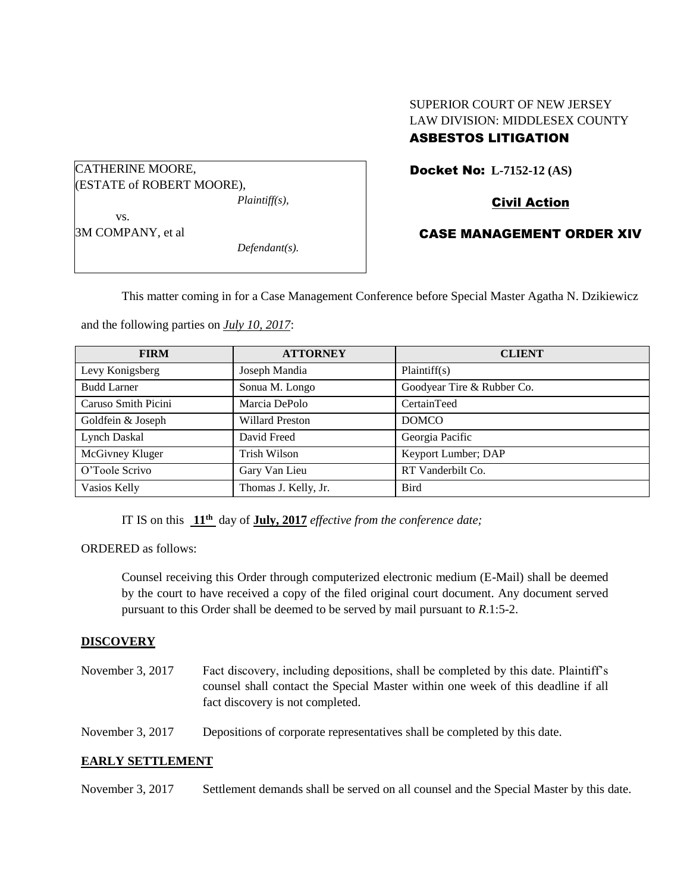# SUPERIOR COURT OF NEW JERSEY LAW DIVISION: MIDDLESEX COUNTY

# ASBESTOS LITIGATION

CATHERINE MOORE, (ESTATE of ROBERT MOORE), *Plaintiff(s),* vs.

3M COMPANY, et al

*Defendant(s).*

Docket No: **L-7152-12 (AS)** 

Civil Action

CASE MANAGEMENT ORDER XIV

This matter coming in for a Case Management Conference before Special Master Agatha N. Dzikiewicz

and the following parties on *July 10, 2017*:

| <b>FIRM</b>         | <b>ATTORNEY</b>        | <b>CLIENT</b>              |
|---------------------|------------------------|----------------------------|
| Levy Konigsberg     | Joseph Mandia          | Plaintiff(s)               |
| <b>Budd Larner</b>  | Sonua M. Longo         | Goodyear Tire & Rubber Co. |
| Caruso Smith Picini | Marcia DePolo          | CertainTeed                |
| Goldfein & Joseph   | <b>Willard Preston</b> | <b>DOMCO</b>               |
| Lynch Daskal        | David Freed            | Georgia Pacific            |
| McGivney Kluger     | <b>Trish Wilson</b>    | Keyport Lumber; DAP        |
| O'Toole Scrivo      | Gary Van Lieu          | RT Vanderbilt Co.          |
| Vasios Kelly        | Thomas J. Kelly, Jr.   | <b>Bird</b>                |

IT IS on this **11th** day of **July, 2017** *effective from the conference date;*

ORDERED as follows:

Counsel receiving this Order through computerized electronic medium (E-Mail) shall be deemed by the court to have received a copy of the filed original court document. Any document served pursuant to this Order shall be deemed to be served by mail pursuant to *R*.1:5-2.

## **DISCOVERY**

| November 3, 2017 | Fact discovery, including depositions, shall be completed by this date. Plaintiff's |
|------------------|-------------------------------------------------------------------------------------|
|                  | counsel shall contact the Special Master within one week of this deadline if all    |
|                  | fact discovery is not completed.                                                    |

November 3, 2017 Depositions of corporate representatives shall be completed by this date.

## **EARLY SETTLEMENT**

November 3, 2017 Settlement demands shall be served on all counsel and the Special Master by this date.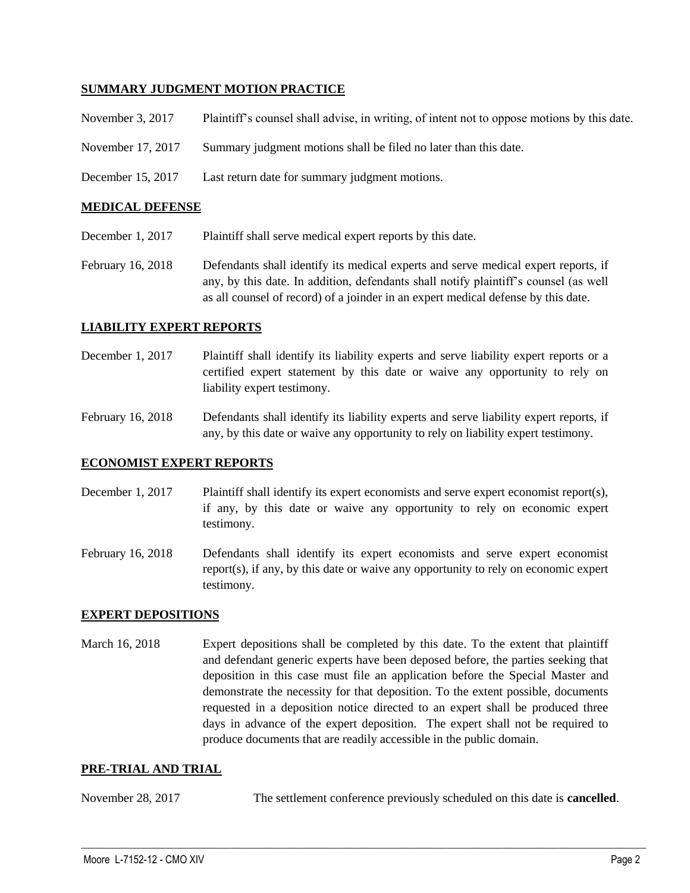#### **SUMMARY JUDGMENT MOTION PRACTICE**

| November 3, 2017  | Plaintiff's counsel shall advise, in writing, of intent not to oppose motions by this date. |
|-------------------|---------------------------------------------------------------------------------------------|
| November 17, 2017 | Summary judgment motions shall be filed no later than this date.                            |
| December 15, 2017 | Last return date for summary judgment motions.                                              |

#### **MEDICAL DEFENSE**

December 1, 2017 Plaintiff shall serve medical expert reports by this date.

February 16, 2018 Defendants shall identify its medical experts and serve medical expert reports, if any, by this date. In addition, defendants shall notify plaintiff's counsel (as well as all counsel of record) of a joinder in an expert medical defense by this date.

#### **LIABILITY EXPERT REPORTS**

December 1, 2017 Plaintiff shall identify its liability experts and serve liability expert reports or a certified expert statement by this date or waive any opportunity to rely on liability expert testimony.

February 16, 2018 Defendants shall identify its liability experts and serve liability expert reports, if any, by this date or waive any opportunity to rely on liability expert testimony.

#### **ECONOMIST EXPERT REPORTS**

- December 1, 2017 Plaintiff shall identify its expert economists and serve expert economist report(s), if any, by this date or waive any opportunity to rely on economic expert testimony.
- February 16, 2018 Defendants shall identify its expert economists and serve expert economist report(s), if any, by this date or waive any opportunity to rely on economic expert testimony.

#### **EXPERT DEPOSITIONS**

March 16, 2018 Expert depositions shall be completed by this date. To the extent that plaintiff and defendant generic experts have been deposed before, the parties seeking that deposition in this case must file an application before the Special Master and demonstrate the necessity for that deposition. To the extent possible, documents requested in a deposition notice directed to an expert shall be produced three days in advance of the expert deposition. The expert shall not be required to produce documents that are readily accessible in the public domain.

#### **PRE-TRIAL AND TRIAL**

November 28, 2017 The settlement conference previously scheduled on this date is **cancelled**.

 $\_$  ,  $\_$  ,  $\_$  ,  $\_$  ,  $\_$  ,  $\_$  ,  $\_$  ,  $\_$  ,  $\_$  ,  $\_$  ,  $\_$  ,  $\_$  ,  $\_$  ,  $\_$  ,  $\_$  ,  $\_$  ,  $\_$  ,  $\_$  ,  $\_$  ,  $\_$  ,  $\_$  ,  $\_$  ,  $\_$  ,  $\_$  ,  $\_$  ,  $\_$  ,  $\_$  ,  $\_$  ,  $\_$  ,  $\_$  ,  $\_$  ,  $\_$  ,  $\_$  ,  $\_$  ,  $\_$  ,  $\_$  ,  $\_$  ,